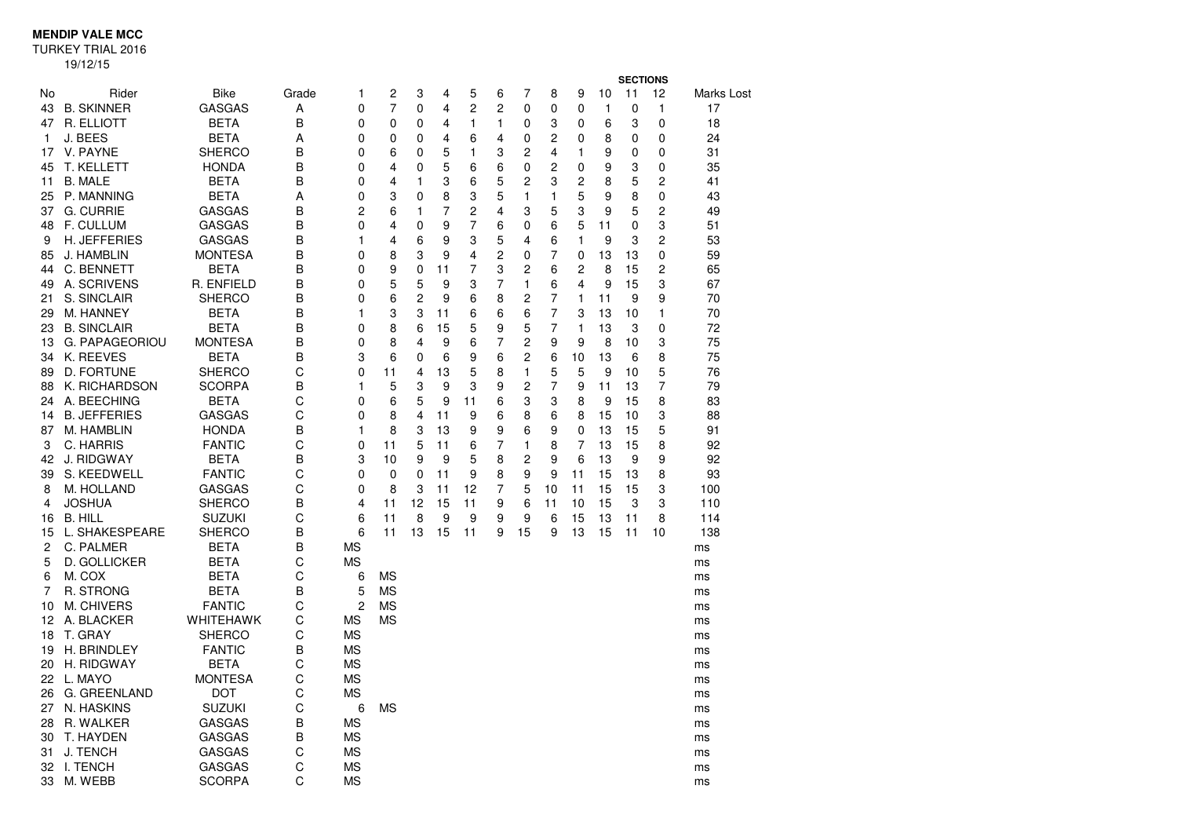**MENDIP VALE MCC**

TURKEY TRIAL 2016

19/12/15

|          |                           |                                |        |                  |           |                |          |                |        |                |                |                |          | <b>SECTIONS</b> |          |                   |
|----------|---------------------------|--------------------------------|--------|------------------|-----------|----------------|----------|----------------|--------|----------------|----------------|----------------|----------|-----------------|----------|-------------------|
| No.      | Rider                     | <b>Bike</b>                    | Grade  | 1                | 2         | 3              | 4        | 5              | 6      | 7              | 8              | 9              | 10       | 11              | 12       | <b>Marks Lost</b> |
| 43       | <b>B. SKINNER</b>         | <b>GASGAS</b>                  | A      | 0                | 7         | 0              | 4        | $\overline{c}$ | 2      | 0              | 0              | 0              | 1        | 0               | 1        | 17                |
| 47       | R. ELLIOTT                | <b>BETA</b>                    | B      | 0                | 0         | $\Omega$       | 4        | 1              | 1      | 0              | 3              | 0              | 6        | 3               | $\Omega$ | 18                |
| 1.       | J. BEES                   | <b>BETA</b>                    | Α      | 0                | 0         | 0              | 4        | 6              | 4      | 0              | $\overline{c}$ | 0              | 8        | 0               | 0        | 24                |
| 17       | V. PAYNE                  | <b>SHERCO</b>                  | B      | 0                | 6         | 0              | 5        | 1              | 3      | 2              | 4              | 1              | 9        | 0               | 0        | 31                |
| 45       | <b>T. KELLETT</b>         | <b>HONDA</b>                   | B      | 0                | 4         | 0              | 5        | 6              | 6      | 0              | $\overline{c}$ | 0              | 9        | 3               | 0        | 35                |
| 11       | <b>B. MALE</b>            | <b>BETA</b>                    | B      | 0                | 4         | 1              | 3        | 6              | 5      | 2              | 3              | 2              | 8        | 5               | 2        | 41                |
| 25       | P. MANNING                | <b>BETA</b>                    | Α      | 0                | 3         | 0              | 8        | 3              | 5      | 1              | 1              | 5              | 9        | 8               | 0        | 43                |
| 37       | <b>G. CURRIE</b>          | GASGAS                         | B      | 2                | 6         | 1              | 7        | 2              | 4      | 3              | 5              | 3              | 9        | 5               | 2        | 49                |
| 48       | <b>F. CULLUM</b>          | <b>GASGAS</b>                  | B      | 0                | 4         | 0              | 9        | 7              | 6      | 0              | 6              | 5              | 11       | 0               | 3        | 51                |
| 9        | <b>H. JEFFERIES</b>       | <b>GASGAS</b>                  | B      | 1                | 4         | 6              | 9        | 3              | 5      | 4              | 6              | 1              | 9        | 3               | 2        | 53                |
| 85       | J. HAMBLIN                | <b>MONTESA</b>                 | B      | 0                | 8         | 3              | 9        | 4              | 2      | 0              | 7              | 0              | 13       | 13              | 0        | 59                |
| 44       | C. BENNETT                | <b>BETA</b>                    | B      | 0                | 9         | 0              | 11       | 7              | 3      | 2              | 6              | 2              | 8        | 15              | 2        | 65                |
| 49       | A. SCRIVENS               | R. ENFIELD                     | В      | 0                | 5         | 5              | 9        | 3              | 7      | 1              | 6              | 4              | 9        | 15              | 3        | 67                |
| 21       | S. SINCLAIR               | <b>SHERCO</b>                  | B      | $\Omega$         | 6         | $\overline{2}$ | 9        | 6              | 8      | $\overline{c}$ | $\overline{7}$ | 1              | 11       | 9               | 9        | 70                |
| 29       | M. HANNEY                 | <b>BETA</b>                    | B      | 1                | 3         | 3              | 11       | 6              | 6      | 6              | $\overline{7}$ | 3              | 13       | 10              | 1        | 70                |
| 23       | <b>B. SINCLAIR</b>        | <b>BETA</b>                    | B      | 0                | 8         | 6              | 15       | 5              | 9      | 5              | $\overline{7}$ | 1              | 13       | 3               | 0        | 72                |
| 13       | <b>G. PAPAGEORIOU</b>     | <b>MONTESA</b>                 | B      | 0                | 8         | 4              | 9        | 6              | 7      | 2              | 9              | 9              | 8        | 10              | 3        | 75                |
| 34       | K. REEVES                 | <b>BETA</b>                    | B      | 3                | 6         | 0              | 6        | 9              | 6      | 2              | 6              | 10             | 13       | 6               | 8        | 75                |
| 89       | D. FORTUNE                | <b>SHERCO</b>                  | C      | 0                | 11        | 4              | 13       | 5              | 8      | 1              | 5              | 5              | 9        | 10              | 5        | 76                |
| 88       | K. RICHARDSON             | <b>SCORPA</b>                  | B      | 1                | 5         | 3              | 9        | 3              | 9      | 2              | 7              | 9              | 11       | 13              | 7        | 79                |
| 24       | A. BEECHING               | <b>BETA</b>                    | C      | 0                | 6         | 5              | 9        | 11             | 6      | 3              | 3              | 8              | 9        | 15              | 8        | 83                |
| 14       | <b>B. JEFFERIES</b>       | <b>GASGAS</b>                  | C      | 0                | 8         | 4              | 11       | 9              | 6      | 8              | 6              | 8              | 15       | 10              | 3        | 88                |
| 87       | M. HAMBLIN                | <b>HONDA</b>                   | B<br>C | 1                | 8         | 3              | 13       | 9              | 9      | 6              | 9              | 0              | 13       | 15              | 5        | 91                |
| 3        | C. HARRIS                 | <b>FANTIC</b>                  | B      | 0                | 11        | 5              | 11       | 6              | 7      | 1              | 8              | $\overline{7}$ | 13       | 15              | 8        | 92                |
| 42<br>39 | J. RIDGWAY<br>S. KEEDWELL | <b>BETA</b>                    | C      | 3<br>$\mathbf 0$ | 10<br>0   | 9<br>0         | 9<br>11  | 5<br>9         | 8<br>8 | 2<br>9         | 9<br>9         | 6<br>11        | 13<br>15 | 9<br>13         | 9<br>8   | 92<br>93          |
|          | M. HOLLAND                | <b>FANTIC</b><br><b>GASGAS</b> | C      | 0                | 8         | 3              |          | 12             | 7      | 5              |                |                | 15       | 15              | 3        |                   |
| 8<br>4   | <b>JOSHUA</b>             | SHERCO                         | B      | $\overline{4}$   | 11        | 12             | 11<br>15 | 11             | 9      | 6              | 10<br>11       | 11<br>10       | 15       | 3               | 3        | 100<br>110        |
| 16       | <b>B. HILL</b>            | <b>SUZUKI</b>                  | C      | 6                | 11        | 8              | 9        | 9              | 9      | 9              | 6              | 15             | 13       | 11              | 8        | 114               |
| 15       | L. SHAKESPEARE            | <b>SHERCO</b>                  | B      | 6                | 11        | 13             | 15       | 11             | 9      | 15             | 9              | 13             | 15       | 11              | 10       | 138               |
| 2        | C. PALMER                 | <b>BETA</b>                    | B      | <b>MS</b>        |           |                |          |                |        |                |                |                |          |                 |          | ms                |
| 5        | D. GOLLICKER              | <b>BETA</b>                    | С      | ΜS               |           |                |          |                |        |                |                |                |          |                 |          | ms                |
| 6        | M. COX                    | <b>BETA</b>                    | C      | 6                | <b>MS</b> |                |          |                |        |                |                |                |          |                 |          | ms                |
| 7        | R. STRONG                 | <b>BETA</b>                    | B      | 5                | <b>MS</b> |                |          |                |        |                |                |                |          |                 |          | ms                |
| 10       | M. CHIVERS                | <b>FANTIC</b>                  | C      | 2                | ΜS        |                |          |                |        |                |                |                |          |                 |          | ms                |
| 12       | A. BLACKER                | <b>WHITEHAWK</b>               | C      | MS               | <b>MS</b> |                |          |                |        |                |                |                |          |                 |          | ms                |
| 18       | T. GRAY                   | <b>SHERCO</b>                  | C      | ΜS               |           |                |          |                |        |                |                |                |          |                 |          | ms                |
| 19       | H. BRINDLEY               | <b>FANTIC</b>                  | B      | <b>MS</b>        |           |                |          |                |        |                |                |                |          |                 |          | ms                |
| 20       | H. RIDGWAY                | <b>BETA</b>                    | C      | MS               |           |                |          |                |        |                |                |                |          |                 |          | ms                |
| 22       | L. MAYO                   | <b>MONTESA</b>                 | C      | <b>MS</b>        |           |                |          |                |        |                |                |                |          |                 |          | ms                |
| 26       | G. GREENLAND              | <b>DOT</b>                     | C      | <b>MS</b>        |           |                |          |                |        |                |                |                |          |                 |          | ms                |
| 27       | N. HASKINS                | <b>SUZUKI</b>                  | C      | 6                | MS        |                |          |                |        |                |                |                |          |                 |          | ms                |
| 28       | R. WALKER                 | <b>GASGAS</b>                  | B      | <b>MS</b>        |           |                |          |                |        |                |                |                |          |                 |          | ms                |
| 30       | T. HAYDEN                 | <b>GASGAS</b>                  | B      | ΜS               |           |                |          |                |        |                |                |                |          |                 |          | ms                |
| 31       | <b>J. TENCH</b>           | GASGAS                         | C      | ΜS               |           |                |          |                |        |                |                |                |          |                 |          | ms                |
| 32       | I. TENCH                  | <b>GASGAS</b>                  | C      | MS               |           |                |          |                |        |                |                |                |          |                 |          | ms                |
| 33       | M. WEBB                   | <b>SCORPA</b>                  | C      | MS               |           |                |          |                |        |                |                |                |          |                 |          | ms                |
|          |                           |                                |        |                  |           |                |          |                |        |                |                |                |          |                 |          |                   |